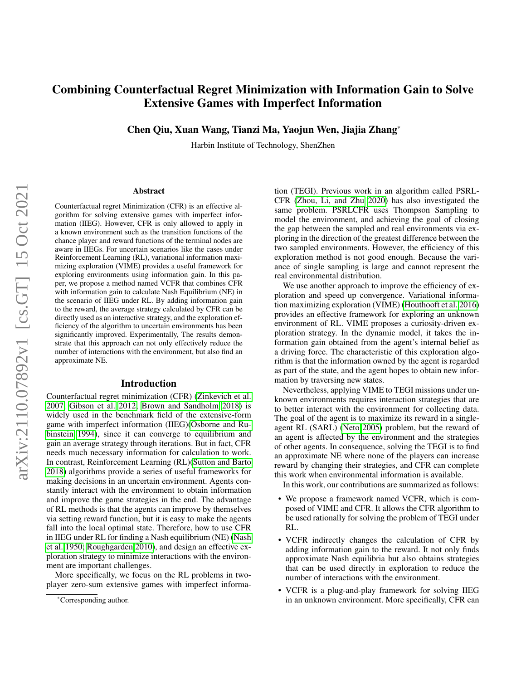# Combining Counterfactual Regret Minimization with Information Gain to Solve Extensive Games with Imperfect Information

Chen Qiu, Xuan Wang, Tianzi Ma, Yaojun Wen, Jiajia Zhang\*

Harbin Institute of Technology, ShenZhen

#### Abstract

Counterfactual regret Minimization (CFR) is an effective algorithm for solving extensive games with imperfect information (IIEG). However, CFR is only allowed to apply in a known environment such as the transition functions of the chance player and reward functions of the terminal nodes are aware in IIEGs. For uncertain scenarios like the cases under Reinforcement Learning (RL), variational information maximizing exploration (VIME) provides a useful framework for exploring environments using information gain. In this paper, we propose a method named VCFR that combines CFR with information gain to calculate Nash Equilibrium (NE) in the scenario of IIEG under RL. By adding information gain to the reward, the average strategy calculated by CFR can be directly used as an interactive strategy, and the exploration efficiency of the algorithm to uncertain environments has been significantly improved. Experimentally, The results demonstrate that this approach can not only effectively reduce the number of interactions with the environment, but also find an approximate NE.

### Introduction

Counterfactual regret minimization (CFR) [\(Zinkevich et al.](#page-8-0) [2007;](#page-8-0) [Gibson et al. 2012;](#page-7-0) [Brown and Sandholm 2018\)](#page-7-1) is widely used in the benchmark field of the extensive-form game with imperfect information (IIEG)[\(Osborne and Ru](#page-7-2)[binstein 1994\)](#page-7-2), since it can converge to equilibrium and gain an average strategy through iterations. But in fact, CFR needs much necessary information for calculation to work. In contrast, Reinforcement Learning (RL)[\(Sutton and Barto](#page-8-1) [2018\)](#page-8-1) algorithms provide a series of useful frameworks for making decisions in an uncertain environment. Agents constantly interact with the environment to obtain information and improve the game strategies in the end. The advantage of RL methods is that the agents can improve by themselves via setting reward function, but it is easy to make the agents fall into the local optimal state. Therefore, how to use CFR in IIEG under RL for finding a Nash equilibrium (NE) [\(Nash](#page-7-3) [et al. 1950;](#page-7-3) [Roughgarden 2010\)](#page-7-4), and design an effective exploration strategy to minimize interactions with the environment are important challenges.

More specifically, we focus on the RL problems in twoplayer zero-sum extensive games with imperfect information (TEGI). Previous work in an algorithm called PSRL-CFR [\(Zhou, Li, and Zhu 2020\)](#page-8-2) has also investigated the same problem. PSRLCFR uses Thompson Sampling to model the environment, and achieving the goal of closing the gap between the sampled and real environments via exploring in the direction of the greatest difference between the two sampled environments. However, the efficiency of this exploration method is not good enough. Because the variance of single sampling is large and cannot represent the real environmental distribution.

We use another approach to improve the efficiency of exploration and speed up convergence. Variational information maximizing exploration (VIME) [\(Houthooft et al. 2016\)](#page-7-5) provides an effective framework for exploring an unknown environment of RL. VIME proposes a curiosity-driven exploration strategy. In the dynamic model, it takes the information gain obtained from the agent's internal belief as a driving force. The characteristic of this exploration algorithm is that the information owned by the agent is regarded as part of the state, and the agent hopes to obtain new information by traversing new states.

Nevertheless, applying VIME to TEGI missions under unknown environments requires interaction strategies that are to better interact with the environment for collecting data. The goal of the agent is to maximize its reward in a singleagent RL (SARL) [\(Neto 2005\)](#page-7-6) problem, but the reward of an agent is affected by the environment and the strategies of other agents. In consequence, solving the TEGI is to find an approximate NE where none of the players can increase reward by changing their strategies, and CFR can complete this work when environmental information is available.

In this work, our contributions are summarized as follows:

- We propose a framework named VCFR, which is composed of VIME and CFR. It allows the CFR algorithm to be used rationally for solving the problem of TEGI under RL.
- VCFR indirectly changes the calculation of CFR by adding information gain to the reward. It not only finds approximate Nash equilibria but also obtains strategies that can be used directly in exploration to reduce the number of interactions with the environment.
- VCFR is a plug-and-play framework for solving IIEG in an unknown environment. More specifically, CFR can

<sup>\*</sup>Corresponding author.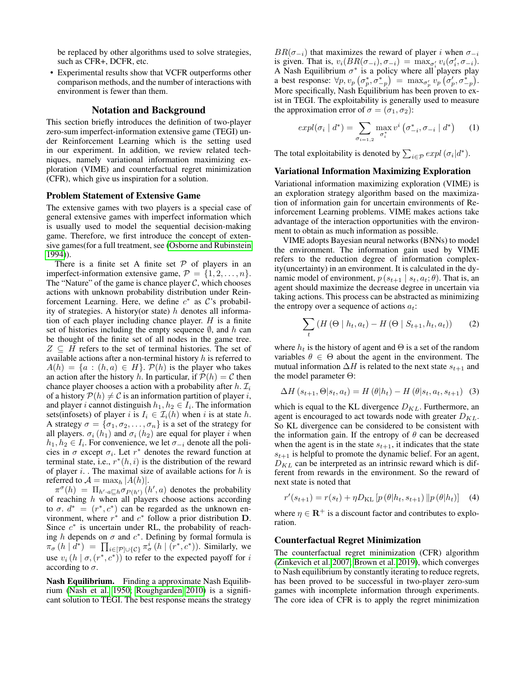be replaced by other algorithms used to solve strategies, such as CFR+, DCFR, etc.

• Experimental results show that VCFR outperforms other comparison methods, and the number of interactions with environment is fewer than them.

### Notation and Background

This section briefly introduces the definition of two-player zero-sum imperfect-information extensive game (TEGI) under Reinforcement Learning which is the setting used in our experiment. In addition, we review related techniques, namely variational information maximizing exploration (VIME) and counterfactual regret minimization (CFR), which give us inspiration for a solution.

### Problem Statement of Extensive Game

The extensive games with two players is a special case of general extensive games with imperfect information which is usually used to model the sequential decision-making game. Therefore, we first introduce the concept of extensive games(for a full treatment, see [\(Osborne and Rubinstein](#page-7-2) [1994\)](#page-7-2)).

There is a finite set A finite set  $P$  of players in an imperfect-information extensive game,  $\mathcal{P} = \{1, 2, \ldots, n\}.$ The "Nature" of the game is chance player  $C$ , which chooses actions with unknown probability distribution under Reinforcement Learning. Here, we define  $c^*$  as  $\mathcal{C}$ 's probability of strategies. A history(or state)  $h$  denotes all information of each player including chance player.  $H$  is a finite set of histories including the empty sequence  $\emptyset$ , and h can be thought of the finite set of all nodes in the game tree.  $Z \subseteq H$  refers to the set of terminal histories. The set of available actions after a non-terminal history  $h$  is referred to  $A(h) = \{a : (h, a) \in H\}$ .  $P(h)$  is the player who takes an action after the history h. In particular, if  $P(h) = C$  then chance player chooses a action with a probability after  $h$ .  $\mathcal{I}_i$ of a history  $P(h) \neq C$  is an information partition of player i, and player *i* cannot distinguish  $h_1, h_2 \in I_i$ . The information sets(infosets) of player i is  $I_i \in \mathcal{I}_i(h)$  when i is at state h. A strategy  $\sigma = {\sigma_1, \sigma_2, \ldots, \sigma_n}$  is a set of the strategy for all players.  $\sigma_i(h_1)$  and  $\sigma_i(h_2)$  are equal for player i when  $h_1, h_2 \in I_i$ . For convenience, we let  $\sigma_{-i}$  denote all the policies in  $\sigma$  except  $\sigma_i$ . Let  $r^*$  denotes the reward function at terminal state, i.e.,  $r^*(h, i)$  is the distribution of the reward of player  $i$ . The maximal size of available actions for  $h$  is referred to  $\mathcal{A} = \max_h |A(h)|$ .

 $\pi^{\sigma}(h) = \prod_{h' \cdot a \sqsubseteq h} \sigma_{P(h')}(h', a)$  denotes the probability of reaching  $h$  when all players choose actions according to  $\sigma$ .  $d^* = (r^*, c^*)$  can be regarded as the unknown environment, where  $r^*$  and  $c^*$  follow a prior distribution **D**. Since  $c^*$  is uncertain under RL, the probability of reaching h depends on  $\sigma$  and  $c^*$ . Defining by formal formula is  $\pi_{\sigma}(h \mid d^*) = \prod_{i \in [\mathcal{P}] \cup \{\mathcal{C}\}} \pi_{\sigma}^i(h \mid (r^*, c^*))$ . Similarly, we use  $v_i(h | \sigma, (r^*, c^*))$  to refer to the expected payoff for i according to  $\sigma$ .

Nash Equilibrium. Finding a approximate Nash Equilibrium [\(Nash et al. 1950;](#page-7-3) [Roughgarden 2010\)](#page-7-4) is a significant solution to TEGI. The best response means the strategy

 $BR(\sigma_{-i})$  that maximizes the reward of player i when  $\sigma_{-i}$ is given. That is,  $v_i(BR(\sigma_{-i}), \sigma_{-i}) = \max_{\sigma'_i} v_i(\sigma'_i, \sigma_{-i}).$ A Nash Equilibrium  $\sigma^*$  is a policy where all players play a best response:  $\forall p, v_p \left( \sigma_p^*, \sigma_{-p}^* \right) = \max_{\sigma_p'} v_p \left( \sigma_p', \sigma_{-p}^* \right)$ . More specifically, Nash Equilibrium has been proven to exist in TEGI. The exploitability is generally used to measure the approximation error of  $\sigma = (\sigma_1, \sigma_2)$ :

$$
expl(\sigma_i \mid d^*) = \sum_{\sigma_{i=1,2}} \max_{\sigma_i^*} v^i \left( \sigma_{-i}^*, \sigma_{-i} \mid d^* \right) \qquad (1)
$$

The total exploitability is denoted by  $\sum_{i \in \mathcal{P}} expl(\sigma_i|d^*)$ .

### Variational Information Maximizing Exploration

Variational information maximizing exploration (VIME) is an exploration strategy algorithm based on the maximization of information gain for uncertain environments of Reinforcement Learning problems. VIME makes actions take advantage of the interaction opportunities with the environment to obtain as much information as possible.

VIME adopts Bayesian neural networks (BNNs) to model the environment. The information gain used by VIME refers to the reduction degree of information complexity(uncertainty) in an environment. It is calculated in the dynamic model of environment,  $p(s_{t+1} | s_t, a_t; \theta)$ . That is, an agent should maximize the decrease degree in uncertain via taking actions. This process can be abstracted as minimizing the entropy over a sequence of actions  $a_t$ :

$$
\sum_{t} \left( H\left(\Theta \mid h_t, a_t\right) - H\left(\Theta \mid S_{t+1}, h_t, a_t\right) \right) \tag{2}
$$

where  $h_t$  is the history of agent and  $\Theta$  is a set of the random variables  $\theta \in \Theta$  about the agent in the environment. The mutual information  $\Delta H$  is related to the next state  $s_{t+1}$  and the model parameter Θ:

$$
\Delta H\left(s_{t+1}, \Theta|s_t, a_t\right) = H\left(\theta|h_t\right) - H\left(\theta|s_t, a_t, s_{t+1}\right) \tag{3}
$$

which is equal to the KL divergence  $D_{KL}$ . Furthermore, an agent is encouraged to act towards node with greater  $D_{KL}$ . So KL divergence can be considered to be consistent with the information gain. If the entropy of  $\theta$  can be decreased when the agent is in the state  $s_{t+1}$ , it indicates that the state  $s_{t+1}$  is helpful to promote the dynamic belief. For an agent,  $D_{KL}$  can be interpreted as an intrinsic reward which is different from rewards in the environment. So the reward of next state is noted that

$$
r'(s_{t+1}) = r(s_t) + \eta D_{\text{KL}} \left[ p(\theta | h_t, s_{t+1}) \| p(\theta | h_t) \right] \quad (4)
$$

where  $\eta \in \mathbb{R}^+$  is a discount factor and contributes to exploration.

#### Counterfactual Regret Minimization

The counterfactual regret minimization (CFR) algorithm [\(Zinkevich et al. 2007;](#page-8-0) [Brown et al. 2019\)](#page-7-7), which converges to Nash equilibrium by constantly iterating to reduce regrets, has been proved to be successful in two-player zero-sum games with incomplete information through experiments. The core idea of CFR is to apply the regret minimization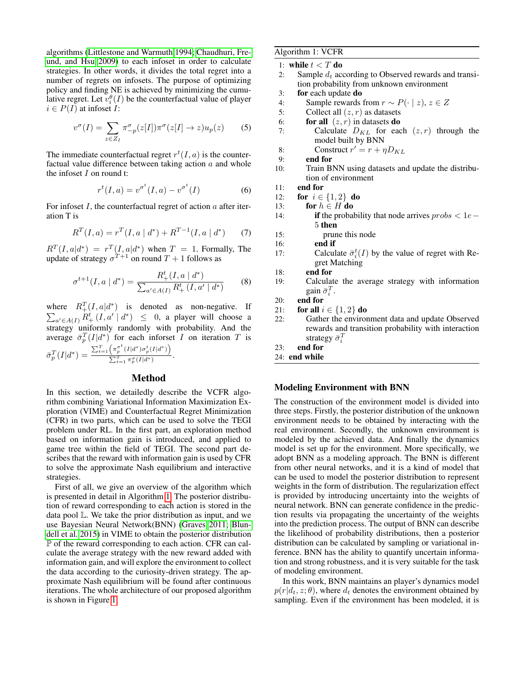algorithms [\(Littlestone and Warmuth 1994;](#page-7-8) [Chaudhuri, Fre](#page-7-9)[und, and Hsu 2009\)](#page-7-9) to each infoset in order to calculate strategies. In other words, it divides the total regret into a number of regrets on infosets. The purpose of optimizing policy and finding NE is achieved by minimizing the cumulative regret. Let  $v_i^{\theta}(I)$  be the counterfactual value of player  $i \in P(I)$  at infoset I:

$$
v^{\sigma}(I) = \sum_{z \in Z_I} \pi_{-p}^{\sigma}(z[I]) \pi^{\sigma}(z[I] \to z) u_p(z) \tag{5}
$$

The immediate counterfactual regret  $r^t(I, a)$  is the counterfactual value difference between taking action  $a$  and whole the infoset  $I$  on round t:

$$
r^{t}(I,a) = v^{\sigma^{t}}(I,a) - v^{\sigma^{t}}(I)
$$
\n(6)

For infoset  $I$ , the counterfactual regret of action  $a$  after iteration T is

$$
R^{T}(I,a) = r^{T}(I,a \mid d^{*}) + R^{T-1}(I,a \mid d^{*})
$$
 (7)

 $R^{T}(I, a|d^*) = r^{T}(I, a|d^*)$  when  $T = 1$ . Formally, The update of strategy  $\sigma^{T+1}$  on round  $T+1$  follows as

$$
\sigma^{t+1}(I, a \mid d^*) = \frac{R_+^t(I, a \mid d^*)}{\sum_{a' \in A(I)} R_+^t(I, a' \mid d^*)}
$$
(8)

where  $R_+^T(I, a|d^*$ P ) is denoted as non-negative. If  $_{a'\in A(I)} R_+^t(I, a' | d^*) \leq 0$ , a player will choose a  $\frac{d}{dx}$  uniformly randomly with probability. And the average  $\bar{\sigma}_p^T(I|d^*)$  for each inforset I on iteration T is  $\bar{\sigma}_p^T(I|d^*) = \frac{\sum_{t=1}^T \left(\pi_p^{\sigma^t}(I|d^*) \sigma_p^t(I|d^*)\right)}{\sum_{t=1}^T \pi^{\sigma}(I|d^*)}$  $\frac{\sum_{t=1}^T \pi_p^{\sigma}(I|d^*)}{\sum_{t=1}^T \pi_p^{\sigma}(I|d^*)}.$ 

# Method

In this section, we detailedly describe the VCFR algorithm combining Variational Information Maximization Exploration (VIME) and Counterfactual Regret Minimization (CFR) in two parts, which can be used to solve the TEGI problem under RL. In the first part, an exploration method based on information gain is introduced, and applied to game tree within the field of TEGI. The second part describes that the reward with information gain is used by CFR to solve the approximate Nash equilibrium and interactive strategies.

First of all, we give an overview of the algorithm which is presented in detail in Algorithm [1.](#page-2-0) The posterior distribution of reward corresponding to each action is stored in the data pool L. We take the prior distribution as input, and we use Bayesian Neural Network(BNN) [\(Graves 2011;](#page-7-10) [Blun](#page-7-11)[dell et al. 2015\)](#page-7-11) in VIME to obtain the posterior distribution P of the reward corresponding to each action. CFR can calculate the average strategy with the new reward added with information gain, and will explore the environment to collect the data according to the curiosity-driven strategy. The approximate Nash equilibrium will be found after continuous iterations. The whole architecture of our proposed algorithm is shown in Figure [1.](#page-3-0)

### <span id="page-2-0"></span>Algorithm 1: VCFR

1: while  $t < T$  do

- 2: Sample  $d_t$  according to Observed rewards and transition probability from unknown environment
- 3: for each update do
- 4: Sample rewards from  $r \sim P(\cdot | z), z \in Z$
- 5: Collect all  $(z, r)$  as datasets
- 6: **for all**  $(z, r)$  in datasets **do**
- 7: Calculate  $D_{KL}$  for each  $(z, r)$  through the model built by BNN
- 8: Construct  $r' = r + \eta D_{KL}$
- 9: end for
- 10: Train BNN using datasets and update the distribution of environment

11: end for

- 12: **for**  $i \in \{1, 2\}$  **do**
- 13: for  $h \in H$  do
- 14: **if** the probability that node arrives  $probs < 1e-$ 5 then
- 15: prune this node
- 16: end if
- 17: Calculate  $\bar{\sigma}_i^t(I)$  by the value of regret with Regret Matching
- 18: end for
- 19: Calculate the average strategy with information gain  $\bar{\sigma}_i^T$ .
- 20: end for
- 21: for all  $i \in \{1,2\}$  do
- 22: Gather the environment data and update Observed rewards and transition probability with interaction strategy  $\bar{\sigma}_i^T$

# 23: end for

```
24: end while
```
# Modeling Environment with BNN

The construction of the environment model is divided into three steps. Firstly, the posterior distribution of the unknown environment needs to be obtained by interacting with the real environment. Secondly, the unknown environment is modeled by the achieved data. And finally the dynamics model is set up for the environment. More specifically, we adopt BNN as a modeling approach. The BNN is different from other neural networks, and it is a kind of model that can be used to model the posterior distribution to represent weights in the form of distribution. The regularization effect is provided by introducing uncertainty into the weights of neural network. BNN can generate confidence in the prediction results via propagating the uncertainty of the weights into the prediction process. The output of BNN can describe the likelihood of probability distributions, then a posterior distribution can be calculated by sampling or variational inference. BNN has the ability to quantify uncertain information and strong robustness, and it is very suitable for the task of modeling environment.

In this work, BNN maintains an player's dynamics model  $p(r|d_t, z; \theta)$ , where  $d_t$  denotes the environment obtained by sampling. Even if the environment has been modeled, it is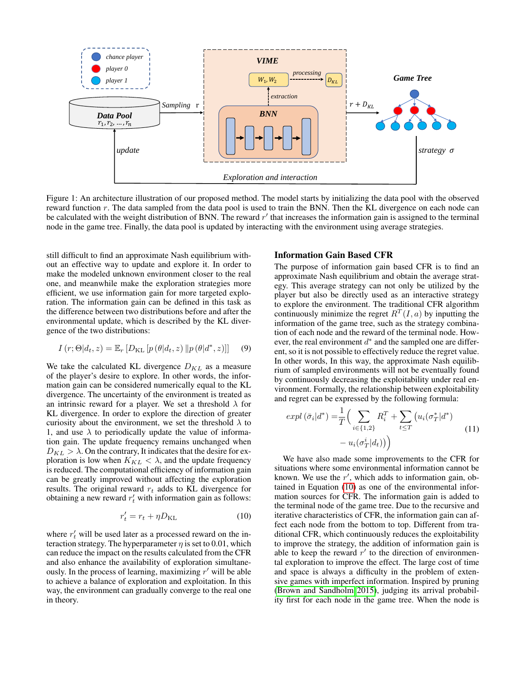<span id="page-3-0"></span>

Figure 1: An architecture illustration of our proposed method. The model starts by initializing the data pool with the observed reward function  $r$ . The data sampled from the data pool is used to train the BNN. Then the KL divergence on each node can be calculated with the weight distribution of BNN. The reward  $r'$  that increases the information gain is assigned to the terminal node in the game tree. Finally, the data pool is updated by interacting with the environment using average strategies.

still difficult to find an approximate Nash equilibrium without an effective way to update and explore it. In order to make the modeled unknown environment closer to the real one, and meanwhile make the exploration strategies more efficient, we use information gain for more targeted exploration. The information gain can be defined in this task as the difference between two distributions before and after the environmental update, which is described by the KL divergence of the two distributions:

$$
I(r; \Theta | d_t, z) = \mathbb{E}_r [D_{\mathrm{KL}} [p(\theta | d_t, z) || p(\theta | d^*, z)]] \quad (9)
$$

We take the calculated KL divergence  $D_{KL}$  as a measure of the player's desire to explore. In other words, the information gain can be considered numerically equal to the KL divergence. The uncertainty of the environment is treated as an intrinsic reward for a player. We set a threshold  $\lambda$  for KL divergence. In order to explore the direction of greater curiosity about the environment, we set the threshold  $\lambda$  to 1, and use  $\lambda$  to periodically update the value of information gain. The update frequency remains unchanged when  $D_{KL} > \lambda$ . On the contrary, It indicates that the desire for exploration is low when  $K_{KL} < \lambda$ , and the update frequency is reduced. The computational efficiency of information gain can be greatly improved without affecting the exploration results. The original reward  $r_t$  adds to KL divergence for obtaining a new reward  $r'_t$  with information gain as follows:

<span id="page-3-1"></span>
$$
r_t' = r_t + \eta D_{\text{KL}} \tag{10}
$$

where  $r'_t$  will be used later as a processed reward on the interaction strategy. The hyperparameter  $\eta$  is set to 0.01, which can reduce the impact on the results calculated from the CFR and also enhance the availability of exploration simultaneously. In the process of learning, maximizing  $r'$  will be able to achieve a balance of exploration and exploitation. In this way, the environment can gradually converge to the real one in theory.

### Information Gain Based CFR

The purpose of information gain based CFR is to find an approximate Nash equilibrium and obtain the average strategy. This average strategy can not only be utilized by the player but also be directly used as an interactive strategy to explore the environment. The traditional CFR algorithm continuously minimize the regret  $R^{T}(I,a)$  by inputting the information of the game tree, such as the strategy combination of each node and the reward of the terminal node. However, the real environment  $d^*$  and the sampled one are different, so it is not possible to effectively reduce the regret value. In other words, In this way, the approximate Nash equilibrium of sampled environments will not be eventually found by continuously decreasing the exploitability under real environment. Formally, the relationship between exploitability and regret can be expressed by the following formula:

$$
expl\left(\bar{\sigma}_{i}|d^{*}\right) = \frac{1}{T} \Big( \sum_{i \in \{1,2\}} R_{i}^{T} + \sum_{t \leq T} \left( u_{i}(\sigma_{T}^{*}|d^{*}) - u_{i}(\sigma_{T}^{i}|d_{t}) \right) \Big) \tag{11}
$$

We have also made some improvements to the CFR for situations where some environmental information cannot be known. We use the  $r'$ , which adds to information gain, obtained in Equation [\(10\)](#page-3-1) as one of the environmental information sources for CFR. The information gain is added to the terminal node of the game tree. Due to the recursive and iterative characteristics of CFR, the information gain can affect each node from the bottom to top. Different from traditional CFR, which continuously reduces the exploitability to improve the strategy, the addition of information gain is able to keep the reward  $r'$  to the direction of environmental exploration to improve the effect. The large cost of time and space is always a difficulty in the problem of extensive games with imperfect information. Inspired by pruning [\(Brown and Sandholm 2015\)](#page-7-12), judging its arrival probability first for each node in the game tree. When the node is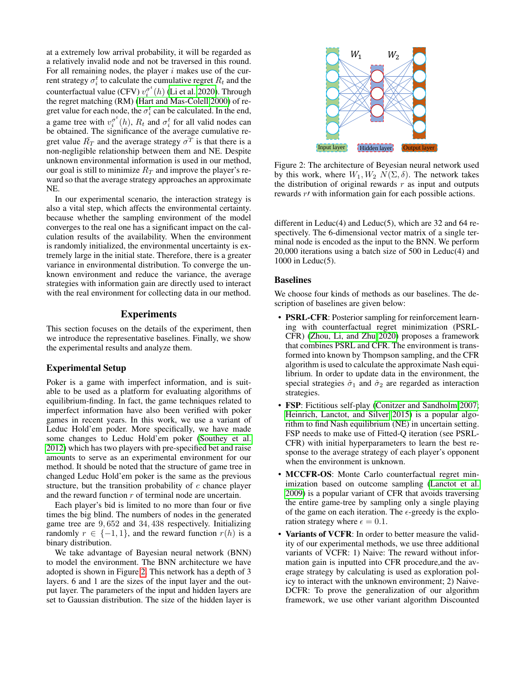at a extremely low arrival probability, it will be regarded as a relatively invalid node and not be traversed in this round. For all remaining nodes, the player  $i$  makes use of the current strategy  $\sigma_i^t$  to calculate the cumulative regret  $R_t$  and the counterfactual value (CFV)  $v_i^{\sigma^t}(h)$  [\(Li et al. 2020\)](#page-7-13). Through the regret matching (RM) [\(Hart and Mas-Colell 2000\)](#page-7-14) of regret value for each node, the  $\sigma_i^t$  can be calculated. In the end, a game tree with  $v_i^{\sigma^t}(h)$ ,  $R_t$  and  $\sigma_i^t$  for all valid nodes can be obtained. The significance of the average cumulative regret value  $\overline{R}_T$  and the average strategy  $\overline{\sigma}^T$  is that there is a non-negligible relationship between them and NE. Despite unknown environmental information is used in our method, our goal is still to minimize  $R_T$  and improve the player's reward so that the average strategy approaches an approximate NE.

In our experimental scenario, the interaction strategy is also a vital step, which affects the environmental certainty. because whether the sampling environment of the model converges to the real one has a significant impact on the calculation results of the availability. When the environment is randomly initialized, the environmental uncertainty is extremely large in the initial state. Therefore, there is a greater variance in environmental distribution. To converge the unknown environment and reduce the variance, the average strategies with information gain are directly used to interact with the real environment for collecting data in our method.

### **Experiments**

This section focuses on the details of the experiment, then we introduce the representative baselines. Finally, we show the experimental results and analyze them.

# Experimental Setup

Poker is a game with imperfect information, and is suitable to be used as a platform for evaluating algorithms of equilibrium-finding. In fact, the game techniques related to imperfect information have also been verified with poker games in recent years. In this work, we use a variant of Leduc Hold'em poder. More specifically, we have made some changes to Leduc Hold'em poker [\(Southey et al.](#page-8-3) [2012\)](#page-8-3) which has two players with pre-specified bet and raise amounts to serve as an experimental environment for our method. It should be noted that the structure of game tree in changed Leduc Hold'em poker is the same as the previous structure, but the transition probability of  $c$  chance player and the reward function  $r$  of terminal node are uncertain.

Each player's bid is limited to no more than four or five times the big blind. The numbers of nodes in the generated game tree are 9, 652 and 34, 438 respectively. Initializing randomly  $r \in \{-1, 1\}$ , and the reward function  $r(h)$  is a binary distribution.

We take advantage of Bayesian neural network (BNN) to model the environment. The BNN architecture we have adopted is shown in Figure [2.](#page-4-0) This network has a depth of 3 layers. 6 and 1 are the sizes of the input layer and the output layer. The parameters of the input and hidden layers are set to Gaussian distribution. The size of the hidden layer is

<span id="page-4-0"></span>

Figure 2: The architecture of Beyesian neural network used by this work, where  $W_1, W_2, N(\Sigma, \delta)$ . The network takes the distribution of original rewards  $r$  as input and outputs rewards  $r$  with information gain for each possible actions.

different in Leduc(4) and Leduc(5), which are 32 and 64 respectively. The 6-dimensional vector matrix of a single terminal node is encoded as the input to the BNN. We perform 20,000 iterations using a batch size of 500 in Leduc(4) and 1000 in Leduc(5).

### Baselines

We choose four kinds of methods as our baselines. The description of baselines are given below:

- **PSRL-CFR**: Posterior sampling for reinforcement learning with counterfactual regret minimization (PSRL-CFR) [\(Zhou, Li, and Zhu 2020\)](#page-8-2) proposes a framework that combines PSRL and CFR. The environment is transformed into known by Thompson sampling, and the CFR algorithm is used to calculate the approximate Nash equilibrium. In order to update data in the environment, the special strategies  $\hat{\sigma}_1$  and  $\hat{\sigma}_2$  are regarded as interaction strategies.
- FSP: Fictitious self-play [\(Conitzer and Sandholm 2007;](#page-7-15) [Heinrich, Lanctot, and Silver 2015\)](#page-7-16) is a popular algorithm to find Nash equilibrium (NE) in uncertain setting. FSP needs to make use of Fitted-Q iteration (see PSRL-CFR) with initial hyperparameters to learn the best response to the average strategy of each player's opponent when the environment is unknown.
- MCCFR-OS: Monte Carlo counterfactual regret minimization based on outcome sampling [\(Lanctot et al.](#page-7-17) [2009\)](#page-7-17) is a popular variant of CFR that avoids traversing the entire game-tree by sampling only a single playing of the game on each iteration. The  $\epsilon$ -greedy is the exploration strategy where  $\epsilon = 0.1$ .
- Variants of VCFR: In order to better measure the validity of our experimental methods, we use three additional variants of VCFR: 1) Naive: The reward without information gain is inputted into CFR procedure,and the average strategy by calculating is used as exploration policy to interact with the unknown environment; 2) Naive-DCFR: To prove the generalization of our algorithm framework, we use other variant algorithm Discounted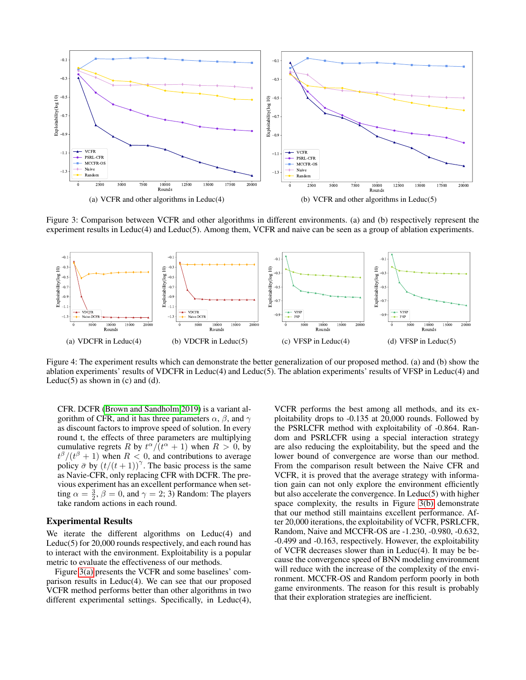<span id="page-5-0"></span>

<span id="page-5-1"></span>Figure 3: Comparison between VCFR and other algorithms in different environments. (a) and (b) respectively represent the experiment results in Leduc(4) and Leduc(5). Among them, VCFR and naive can be seen as a group of ablation experiments.

<span id="page-5-3"></span><span id="page-5-2"></span>

Figure 4: The experiment results which can demonstrate the better generalization of our proposed method. (a) and (b) show the ablation experiments' results of VDCFR in Leduc(4) and Leduc(5). The ablation experiments' results of VFSP in Leduc(4) and Leduc $(5)$  as shown in  $(c)$  and  $(d)$ .

CFR. DCFR [\(Brown and Sandholm 2019\)](#page-7-18) is a variant algorithm of CFR, and it has three parameters  $\alpha$ ,  $\beta$ , and  $\gamma$ as discount factors to improve speed of solution. In every round t, the effects of three parameters are multiplying cumulative regrets R by  $t^{\alpha}/(t^{\alpha}+1)$  when  $R > 0$ , by  $t^{\beta}/(t^{\beta}+1)$  when  $R < 0$ , and contributions to average policy  $\bar{\sigma}$  by  $(t/(t+1))^{\gamma}$ . The basic process is the same as Navie-CFR, only replacing CFR with DCFR. The previous experiment has an excellent performance when setting  $\alpha = \frac{3}{2}, \beta = 0$ , and  $\gamma = 2, 3$ ) Random: The players take random actions in each round.

### Experimental Results

We iterate the different algorithms on Leduc(4) and Leduc(5) for 20,000 rounds respectively, and each round has to interact with the environment. Exploitability is a popular metric to evaluate the effectiveness of our methods.

Figure [3\(a\)](#page-5-0) presents the VCFR and some baselines' comparison results in Leduc(4). We can see that our proposed VCFR method performs better than other algorithms in two different experimental settings. Specifically, in Leduc(4),

<span id="page-5-4"></span>VCFR performs the best among all methods, and its exploitability drops to -0.135 at 20,000 rounds. Followed by the PSRLCFR method with exploitability of -0.864. Random and PSRLCFR using a special interaction strategy are also reducing the exploitability, but the speed and the lower bound of convergence are worse than our method. From the comparison result between the Naive CFR and VCFR, it is proved that the average strategy with information gain can not only explore the environment efficiently but also accelerate the convergence. In Leduc(5) with higher space complexity, the results in Figure [3\(b\)](#page-5-1) demonstrate that our method still maintains excellent performance. After 20,000 iterations, the exploitability of VCFR, PSRLCFR, Random, Naive and MCCFR-OS are -1.230, -0.980, -0.632, -0.499 and -0.163, respectively. However, the exploitability of VCFR decreases slower than in Leduc(4). It may be because the convergence speed of BNN modeling environment will reduce with the increase of the complexity of the environment. MCCFR-OS and Random perform poorly in both game environments. The reason for this result is probably that their exploration strategies are inefficient.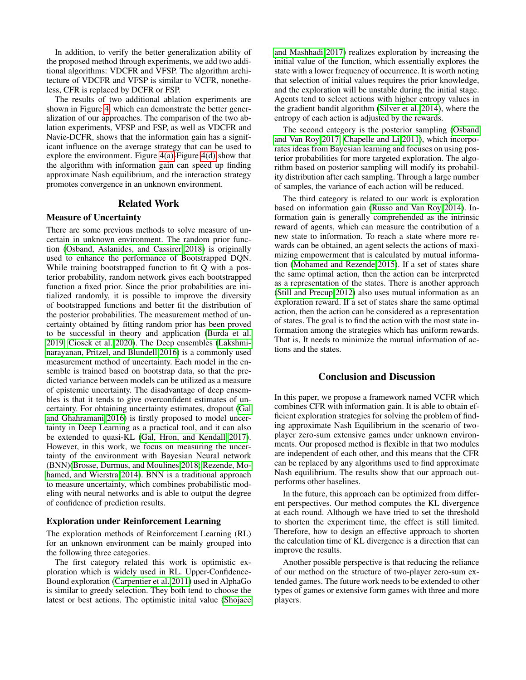In addition, to verify the better generalization ability of the proposed method through experiments, we add two additional algorithms: VDCFR and VFSP. The algorithm architecture of VDCFR and VFSP is similar to VCFR, nonetheless, CFR is replaced by DCFR or FSP.

The results of two additional ablation experiments are shown in Figure [4,](#page-5-2) which can demonstrate the better generalization of our approaches. The comparison of the two ablation experiments, VFSP and FSP, as well as VDCFR and Navie-DCFR, shows that the information gain has a significant influence on the average strategy that can be used to explore the environment. Figure [4\(a\)-](#page-5-3)Figure [4\(d\)](#page-5-4) show that the algorithm with information gain can speed up finding approximate Nash equilibrium, and the interaction strategy promotes convergence in an unknown environment.

### Related Work

# Measure of Uncertainty

There are some previous methods to solve measure of uncertain in unknown environment. The random prior function [\(Osband, Aslanides, and Cassirer 2018\)](#page-7-19) is originally used to enhance the performance of Bootstrapped DQN. While training bootstrapped function to fit Q with a posterior probability, random network gives each bootstrapped function a fixed prior. Since the prior probabilities are initialized randomly, it is possible to improve the diversity of bootstrapped functions and better fit the distribution of the posterior probabilities. The measurement method of uncertainty obtained by fitting random prior has been proved to be successful in theory and application [\(Burda et al.](#page-7-20) [2019;](#page-7-20) [Ciosek et al. 2020\)](#page-7-21). The Deep ensembles [\(Lakshmi](#page-7-22)[narayanan, Pritzel, and Blundell 2016\)](#page-7-22) is a commonly used measurement method of uncertainty. Each model in the ensemble is trained based on bootstrap data, so that the predicted variance between models can be utilized as a measure of epistemic uncertainty. The disadvantage of deep ensembles is that it tends to give overconfident estimates of uncertainty. For obtaining uncertainty estimates, dropout [\(Gal](#page-7-23) [and Ghahramani 2016\)](#page-7-23) is firstly proposed to model uncertainty in Deep Learning as a practical tool, and it can also be extended to quasi-KL [\(Gal, Hron, and Kendall 2017\)](#page-7-24). However, in this work, we focus on measuring the uncertainty of the environment with Bayesian Neural network (BNN)[\(Brosse, Durmus, and Moulines 2018;](#page-7-25) [Rezende, Mo](#page-7-26)[hamed, and Wierstra 2014\)](#page-7-26). BNN is a traditional approach to measure uncertainty, which combines probabilistic modeling with neural networks and is able to output the degree of confidence of prediction results.

### Exploration under Reinforcement Learning

The exploration methods of Reinforcement Learning (RL) for an unknown environment can be mainly grouped into the following three categories.

The first category related this work is optimistic exploration which is widely used in RL. Upper-Confidence-Bound exploration [\(Carpentier et al. 2011\)](#page-7-27) used in AlphaGo is similar to greedy selection. They both tend to choose the latest or best actions. The optimistic inital value [\(Shojaee](#page-7-28)

[and Mashhadi 2017\)](#page-7-28) realizes exploration by increasing the initial value of the function, which essentially explores the state with a lower frequency of occurrence. It is worth noting that selection of initial values requires the prior knowledge, and the exploration will be unstable during the initial stage. Agents tend to selcet actions with higher entropy values in the gradient bandit algorithm [\(Silver et al. 2014\)](#page-8-4), where the entropy of each action is adjusted by the rewards.

The second category is the posterior sampling [\(Osband](#page-7-29) [and Van Roy 2017;](#page-7-29) [Chapelle and Li 2011\)](#page-7-30), which incorporates ideas from Bayesian learning and focuses on using posterior probabilities for more targeted exploration. The algorithm based on posterior sampling will modify its probability distribution after each sampling. Through a large number of samples, the variance of each action will be reduced.

The third category is related to our work is exploration based on information gain [\(Russo and Van Roy 2014\)](#page-7-31). Information gain is generally comprehended as the intrinsic reward of agents, which can measure the contribution of a new state to information. To reach a state where more rewards can be obtained, an agent selects the actions of maximizing empowerment that is calculated by mutual information [\(Mohamed and Rezende 2015\)](#page-7-32). If a set of states share the same optimal action, then the action can be interpreted as a representation of the states. There is another approach [\(Still and Precup 2012\)](#page-8-5) also uses mutual information as an exploration reward. If a set of states share the same optimal action, then the action can be considered as a representation of states. The goal is to find the action with the most state information among the strategies which has uniform rewards. That is, It needs to minimize the mutual information of actions and the states.

### Conclusion and Discussion

In this paper, we propose a framework named VCFR which combines CFR with information gain. It is able to obtain efficient exploration strategies for solving the problem of finding approximate Nash Equilibrium in the scenario of twoplayer zero-sum extensive games under unknown environments. Our proposed method is flexible in that two modules are independent of each other, and this means that the CFR can be replaced by any algorithms used to find approximate Nash equilibrium. The results show that our approach outperforms other baselines.

In the future, this approach can be optimized from different perspectives. Our method computes the KL divergence at each round. Although we have tried to set the threshold to shorten the experiment time, the effect is still limited. Therefore, how to design an effective approach to shorten the calculation time of KL divergence is a direction that can improve the results.

Another possible perspective is that reducing the reliance of our method on the structure of two-player zero-sum extended games. The future work needs to be extended to other types of games or extensive form games with three and more players.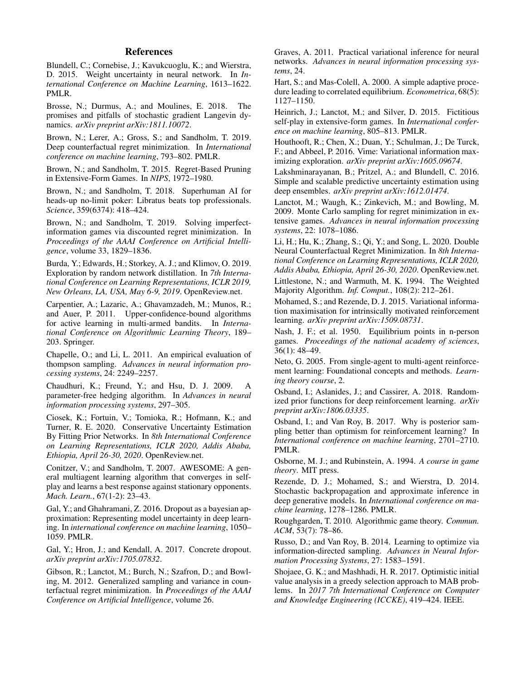# References

<span id="page-7-11"></span>Blundell, C.; Cornebise, J.; Kavukcuoglu, K.; and Wierstra, D. 2015. Weight uncertainty in neural network. In *International Conference on Machine Learning*, 1613–1622. PMLR.

<span id="page-7-25"></span>Brosse, N.; Durmus, A.; and Moulines, E. 2018. The promises and pitfalls of stochastic gradient Langevin dynamics. *arXiv preprint arXiv:1811.10072*.

<span id="page-7-7"></span>Brown, N.; Lerer, A.; Gross, S.; and Sandholm, T. 2019. Deep counterfactual regret minimization. In *International conference on machine learning*, 793–802. PMLR.

<span id="page-7-12"></span>Brown, N.; and Sandholm, T. 2015. Regret-Based Pruning in Extensive-Form Games. In *NIPS*, 1972–1980.

<span id="page-7-1"></span>Brown, N.; and Sandholm, T. 2018. Superhuman AI for heads-up no-limit poker: Libratus beats top professionals. *Science*, 359(6374): 418–424.

<span id="page-7-18"></span>Brown, N.; and Sandholm, T. 2019. Solving imperfectinformation games via discounted regret minimization. In *Proceedings of the AAAI Conference on Artificial Intelligence*, volume 33, 1829–1836.

<span id="page-7-20"></span>Burda, Y.; Edwards, H.; Storkey, A. J.; and Klimov, O. 2019. Exploration by random network distillation. In *7th International Conference on Learning Representations, ICLR 2019, New Orleans, LA, USA, May 6-9, 2019*. OpenReview.net.

<span id="page-7-27"></span>Carpentier, A.; Lazaric, A.; Ghavamzadeh, M.; Munos, R.; and Auer, P. 2011. Upper-confidence-bound algorithms for active learning in multi-armed bandits. In *International Conference on Algorithmic Learning Theory*, 189– 203. Springer.

<span id="page-7-30"></span>Chapelle, O.; and Li, L. 2011. An empirical evaluation of thompson sampling. *Advances in neural information processing systems*, 24: 2249–2257.

<span id="page-7-9"></span>Chaudhuri, K.; Freund, Y.; and Hsu, D. J. 2009. A parameter-free hedging algorithm. In *Advances in neural information processing systems*, 297–305.

<span id="page-7-21"></span>Ciosek, K.; Fortuin, V.; Tomioka, R.; Hofmann, K.; and Turner, R. E. 2020. Conservative Uncertainty Estimation By Fitting Prior Networks. In *8th International Conference on Learning Representations, ICLR 2020, Addis Ababa, Ethiopia, April 26-30, 2020*. OpenReview.net.

<span id="page-7-15"></span>Conitzer, V.; and Sandholm, T. 2007. AWESOME: A general multiagent learning algorithm that converges in selfplay and learns a best response against stationary opponents. *Mach. Learn.*, 67(1-2): 23–43.

<span id="page-7-23"></span>Gal, Y.; and Ghahramani, Z. 2016. Dropout as a bayesian approximation: Representing model uncertainty in deep learning. In *international conference on machine learning*, 1050– 1059. PMLR.

<span id="page-7-24"></span>Gal, Y.; Hron, J.; and Kendall, A. 2017. Concrete dropout. *arXiv preprint arXiv:1705.07832*.

<span id="page-7-0"></span>Gibson, R.; Lanctot, M.; Burch, N.; Szafron, D.; and Bowling, M. 2012. Generalized sampling and variance in counterfactual regret minimization. In *Proceedings of the AAAI Conference on Artificial Intelligence*, volume 26.

<span id="page-7-10"></span>Graves, A. 2011. Practical variational inference for neural networks. *Advances in neural information processing systems*, 24.

<span id="page-7-14"></span>Hart, S.; and Mas-Colell, A. 2000. A simple adaptive procedure leading to correlated equilibrium. *Econometrica*, 68(5): 1127–1150.

<span id="page-7-16"></span>Heinrich, J.; Lanctot, M.; and Silver, D. 2015. Fictitious self-play in extensive-form games. In *International conference on machine learning*, 805–813. PMLR.

<span id="page-7-5"></span>Houthooft, R.; Chen, X.; Duan, Y.; Schulman, J.; De Turck, F.; and Abbeel, P. 2016. Vime: Variational information maximizing exploration. *arXiv preprint arXiv:1605.09674*.

<span id="page-7-22"></span>Lakshminarayanan, B.; Pritzel, A.; and Blundell, C. 2016. Simple and scalable predictive uncertainty estimation using deep ensembles. *arXiv preprint arXiv:1612.01474*.

<span id="page-7-17"></span>Lanctot, M.; Waugh, K.; Zinkevich, M.; and Bowling, M. 2009. Monte Carlo sampling for regret minimization in extensive games. *Advances in neural information processing systems*, 22: 1078–1086.

<span id="page-7-13"></span>Li, H.; Hu, K.; Zhang, S.; Qi, Y.; and Song, L. 2020. Double Neural Counterfactual Regret Minimization. In *8th International Conference on Learning Representations, ICLR 2020, Addis Ababa, Ethiopia, April 26-30, 2020*. OpenReview.net.

<span id="page-7-8"></span>Littlestone, N.; and Warmuth, M. K. 1994. The Weighted Majority Algorithm. *Inf. Comput.*, 108(2): 212–261.

<span id="page-7-32"></span>Mohamed, S.; and Rezende, D. J. 2015. Variational information maximisation for intrinsically motivated reinforcement learning. *arXiv preprint arXiv:1509.08731*.

<span id="page-7-3"></span>Nash, J. F.; et al. 1950. Equilibrium points in n-person games. *Proceedings of the national academy of sciences*, 36(1): 48–49.

<span id="page-7-6"></span>Neto, G. 2005. From single-agent to multi-agent reinforcement learning: Foundational concepts and methods. *Learning theory course*, 2.

<span id="page-7-19"></span>Osband, I.; Aslanides, J.; and Cassirer, A. 2018. Randomized prior functions for deep reinforcement learning. *arXiv preprint arXiv:1806.03335*.

<span id="page-7-29"></span>Osband, I.; and Van Roy, B. 2017. Why is posterior sampling better than optimism for reinforcement learning? In *International conference on machine learning*, 2701–2710. PMLR.

<span id="page-7-2"></span>Osborne, M. J.; and Rubinstein, A. 1994. *A course in game theory*. MIT press.

<span id="page-7-26"></span>Rezende, D. J.; Mohamed, S.; and Wierstra, D. 2014. Stochastic backpropagation and approximate inference in deep generative models. In *International conference on machine learning*, 1278–1286. PMLR.

<span id="page-7-4"></span>Roughgarden, T. 2010. Algorithmic game theory. *Commun. ACM*, 53(7): 78–86.

<span id="page-7-31"></span>Russo, D.; and Van Roy, B. 2014. Learning to optimize via information-directed sampling. *Advances in Neural Information Processing Systems*, 27: 1583–1591.

<span id="page-7-28"></span>Shojaee, G. K.; and Mashhadi, H. R. 2017. Optimistic initial value analysis in a greedy selection approach to MAB problems. In *2017 7th International Conference on Computer and Knowledge Engineering (ICCKE)*, 419–424. IEEE.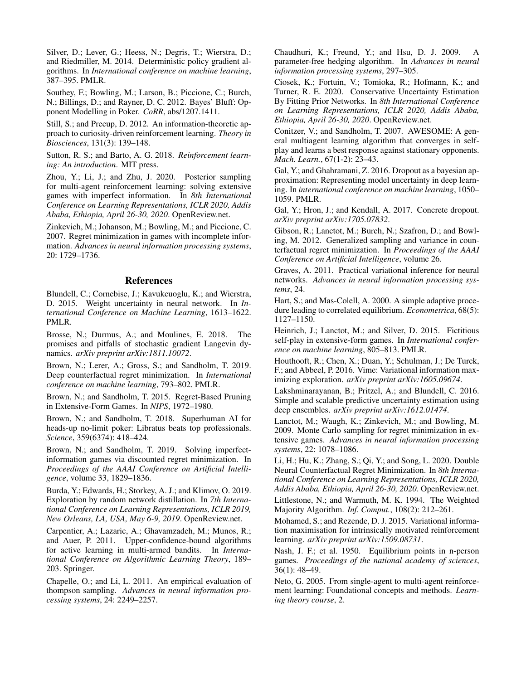<span id="page-8-4"></span>Silver, D.; Lever, G.; Heess, N.; Degris, T.; Wierstra, D.; and Riedmiller, M. 2014. Deterministic policy gradient algorithms. In *International conference on machine learning*, 387–395. PMLR.

<span id="page-8-3"></span>Southey, F.; Bowling, M.; Larson, B.; Piccione, C.; Burch, N.; Billings, D.; and Rayner, D. C. 2012. Bayes' Bluff: Opponent Modelling in Poker. *CoRR*, abs/1207.1411.

<span id="page-8-5"></span>Still, S.; and Precup, D. 2012. An information-theoretic approach to curiosity-driven reinforcement learning. *Theory in Biosciences*, 131(3): 139–148.

<span id="page-8-1"></span>Sutton, R. S.; and Barto, A. G. 2018. *Reinforcement learning: An introduction*. MIT press.

<span id="page-8-2"></span>Zhou, Y.; Li, J.; and Zhu, J. 2020. Posterior sampling for multi-agent reinforcement learning: solving extensive games with imperfect information. In *8th International Conference on Learning Representations, ICLR 2020, Addis Ababa, Ethiopia, April 26-30, 2020*. OpenReview.net.

<span id="page-8-0"></span>Zinkevich, M.; Johanson, M.; Bowling, M.; and Piccione, C. 2007. Regret minimization in games with incomplete information. *Advances in neural information processing systems*, 20: 1729–1736.

# References

Blundell, C.; Cornebise, J.; Kavukcuoglu, K.; and Wierstra, D. 2015. Weight uncertainty in neural network. In *International Conference on Machine Learning*, 1613–1622. PMLR.

Brosse, N.; Durmus, A.; and Moulines, E. 2018. The promises and pitfalls of stochastic gradient Langevin dynamics. *arXiv preprint arXiv:1811.10072*.

Brown, N.; Lerer, A.; Gross, S.; and Sandholm, T. 2019. Deep counterfactual regret minimization. In *International conference on machine learning*, 793–802. PMLR.

Brown, N.; and Sandholm, T. 2015. Regret-Based Pruning in Extensive-Form Games. In *NIPS*, 1972–1980.

Brown, N.; and Sandholm, T. 2018. Superhuman AI for heads-up no-limit poker: Libratus beats top professionals. *Science*, 359(6374): 418–424.

Brown, N.; and Sandholm, T. 2019. Solving imperfectinformation games via discounted regret minimization. In *Proceedings of the AAAI Conference on Artificial Intelligence*, volume 33, 1829–1836.

Burda, Y.; Edwards, H.; Storkey, A. J.; and Klimov, O. 2019. Exploration by random network distillation. In *7th International Conference on Learning Representations, ICLR 2019, New Orleans, LA, USA, May 6-9, 2019*. OpenReview.net.

Carpentier, A.; Lazaric, A.; Ghavamzadeh, M.; Munos, R.; and Auer, P. 2011. Upper-confidence-bound algorithms for active learning in multi-armed bandits. In *International Conference on Algorithmic Learning Theory*, 189– 203. Springer.

Chapelle, O.; and Li, L. 2011. An empirical evaluation of thompson sampling. *Advances in neural information processing systems*, 24: 2249–2257.

Chaudhuri, K.; Freund, Y.; and Hsu, D. J. 2009. parameter-free hedging algorithm. In *Advances in neural information processing systems*, 297–305.

Ciosek, K.; Fortuin, V.; Tomioka, R.; Hofmann, K.; and Turner, R. E. 2020. Conservative Uncertainty Estimation By Fitting Prior Networks. In *8th International Conference on Learning Representations, ICLR 2020, Addis Ababa, Ethiopia, April 26-30, 2020*. OpenReview.net.

Conitzer, V.; and Sandholm, T. 2007. AWESOME: A general multiagent learning algorithm that converges in selfplay and learns a best response against stationary opponents. *Mach. Learn.*, 67(1-2): 23–43.

Gal, Y.; and Ghahramani, Z. 2016. Dropout as a bayesian approximation: Representing model uncertainty in deep learning. In *international conference on machine learning*, 1050– 1059. PMLR.

Gal, Y.; Hron, J.; and Kendall, A. 2017. Concrete dropout. *arXiv preprint arXiv:1705.07832*.

Gibson, R.; Lanctot, M.; Burch, N.; Szafron, D.; and Bowling, M. 2012. Generalized sampling and variance in counterfactual regret minimization. In *Proceedings of the AAAI Conference on Artificial Intelligence*, volume 26.

Graves, A. 2011. Practical variational inference for neural networks. *Advances in neural information processing systems*, 24.

Hart, S.; and Mas-Colell, A. 2000. A simple adaptive procedure leading to correlated equilibrium. *Econometrica*, 68(5): 1127–1150.

Heinrich, J.; Lanctot, M.; and Silver, D. 2015. Fictitious self-play in extensive-form games. In *International conference on machine learning*, 805–813. PMLR.

Houthooft, R.; Chen, X.; Duan, Y.; Schulman, J.; De Turck, F.; and Abbeel, P. 2016. Vime: Variational information maximizing exploration. *arXiv preprint arXiv:1605.09674*.

Lakshminarayanan, B.; Pritzel, A.; and Blundell, C. 2016. Simple and scalable predictive uncertainty estimation using deep ensembles. *arXiv preprint arXiv:1612.01474*.

Lanctot, M.; Waugh, K.; Zinkevich, M.; and Bowling, M. 2009. Monte Carlo sampling for regret minimization in extensive games. *Advances in neural information processing systems*, 22: 1078–1086.

Li, H.; Hu, K.; Zhang, S.; Qi, Y.; and Song, L. 2020. Double Neural Counterfactual Regret Minimization. In *8th International Conference on Learning Representations, ICLR 2020, Addis Ababa, Ethiopia, April 26-30, 2020*. OpenReview.net. Littlestone, N.; and Warmuth, M. K. 1994. The Weighted Majority Algorithm. *Inf. Comput.*, 108(2): 212–261.

Mohamed, S.; and Rezende, D. J. 2015. Variational information maximisation for intrinsically motivated reinforcement learning. *arXiv preprint arXiv:1509.08731*.

Nash, J. F.; et al. 1950. Equilibrium points in n-person games. *Proceedings of the national academy of sciences*, 36(1): 48–49.

Neto, G. 2005. From single-agent to multi-agent reinforcement learning: Foundational concepts and methods. *Learning theory course*, 2.